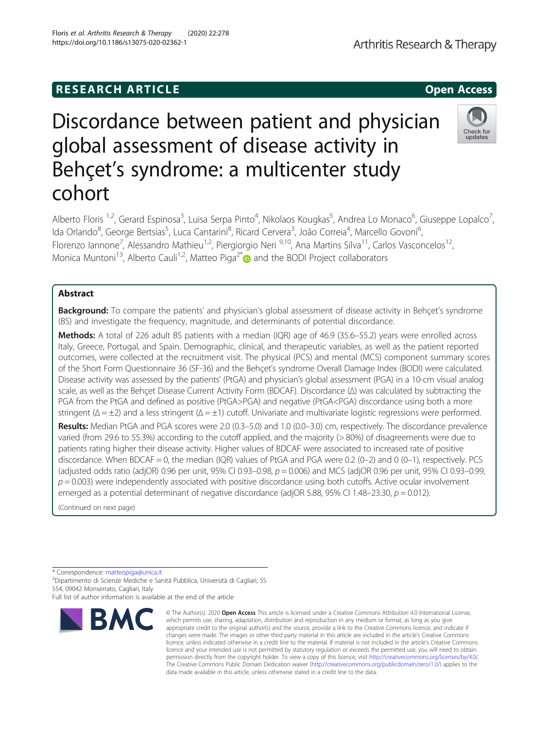# **RESEARCH ARTICLE Example 2014 12:30 The SEAR CH ACCESS**

# Discordance between patient and physician global assessment of disease activity in Behçet's syndrome: a multicenter study cohort

Alberto Floris <sup>1,2</sup>, Gerard Espinosa<sup>3</sup>, Luisa Serpa Pinto<sup>4</sup>, Nikolaos Kougkas<sup>5</sup>, Andrea Lo Monaco<sup>6</sup>, Giuseppe Lopalco<sup>7</sup> , Ida Orlando<sup>8</sup>, George Bertsias<sup>5</sup>, Luca Cantarini<sup>8</sup>, Ricard Cervera<sup>3</sup>, João Correia<sup>4</sup>, Marcello Govoni<sup>6</sup> י<br>, Florenzo Iannone<sup>7</sup>, Alessandro Mathieu<sup>1,2</sup>, Piergiorgio Neri <sup>9,10</sup>, Ana Martins Silva<sup>11</sup>, Carlos Vasconcelos<sup>12</sup>, Monica Muntoni<sup>13</sup>, Alberto Cauli<sup>1,2</sup>, Matteo Piga<sup>2[\\*](http://orcid.org/0000-0002-1126-8315)</sup> and the BODI Project collaborators

# Abstract

Background: To compare the patients' and physician's global assessment of disease activity in Behçet's syndrome (BS) and investigate the frequency, magnitude, and determinants of potential discordance.

Methods: A total of 226 adult BS patients with a median (IQR) age of 46.9 (35.6–55.2) years were enrolled across Italy, Greece, Portugal, and Spain. Demographic, clinical, and therapeutic variables, as well as the patient reported outcomes, were collected at the recruitment visit. The physical (PCS) and mental (MCS) component summary scores of the Short Form Questionnaire 36 (SF-36) and the Behçet's syndrome Overall Damage Index (BODI) were calculated. Disease activity was assessed by the patients' (PtGA) and physician's global assessment (PGA) in a 10-cm visual analog scale, as well as the Behçet Disease Current Activity Form (BDCAF). Discordance (Δ) was calculated by subtracting the PGA from the PtGA and defined as positive (PtGA>PGA) and negative (PtGA<PGA) discordance using both a more stringent ( $\Delta = \pm 2$ ) and a less stringent ( $\Delta = \pm 1$ ) cutoff. Univariate and multivariate logistic regressions were performed.

Results: Median PtGA and PGA scores were 2.0 (0.3–5.0) and 1.0 (0.0–3.0) cm, respectively. The discordance prevalence varied (from 29.6 to 55.3%) according to the cutoff applied, and the majority (> 80%) of disagreements were due to patients rating higher their disease activity. Higher values of BDCAF were associated to increased rate of positive discordance. When BDCAF = 0, the median (IQR) values of PtGA and PGA were 0.2 (0–2) and 0 (0–1), respectively. PCS (adjusted odds ratio (adjOR) 0.96 per unit, 95% CI 0.93–0.98,  $p = 0.006$ ) and MCS (adjOR 0.96 per unit, 95% CI 0.93–0.99,  $p = 0.003$ ) were independently associated with positive discordance using both cutoffs. Active ocular involvement emerged as a potential determinant of negative discordance (adjOR 5.88, 95% CI 1.48–23.30,  $p = 0.012$ ).

(Continued on next page)

\* Correspondence: [matteopiga@unica.it](mailto:matteopiga@unica.it) <sup>2</sup>

RMC

<sup>2</sup>Dipartimento di Scienze Mediche e Sanità Pubblica, Università di Cagliari, SS 554, 09042 Monserrato, Cagliari, Italy



© The Author(s), 2020 **Open Access** This article is licensed under a Creative Commons Attribution 4.0 International License, which permits use, sharing, adaptation, distribution and reproduction in any medium or format, as long as you give appropriate credit to the original author(s) and the source, provide a link to the Creative Commons licence, and indicate if





Full list of author information is available at the end of the article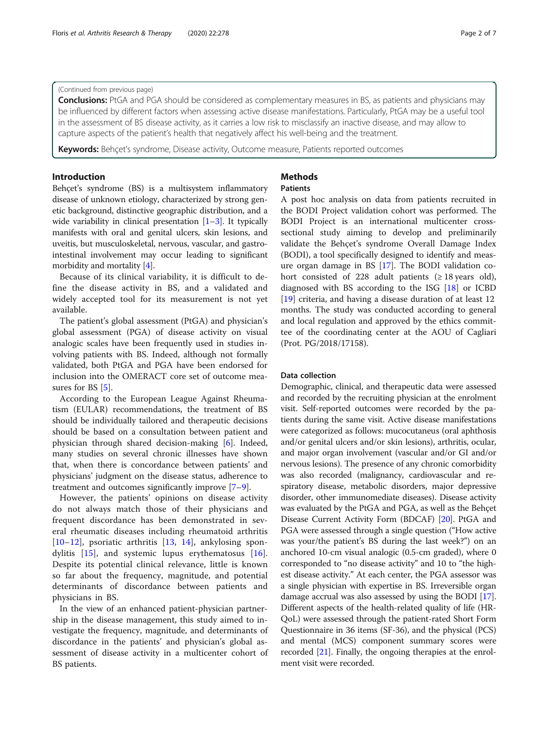#### (Continued from previous page)

**Conclusions:** PtGA and PGA should be considered as complementary measures in BS, as patients and physicians may be influenced by different factors when assessing active disease manifestations. Particularly, PtGA may be a useful tool in the assessment of BS disease activity, as it carries a low risk to misclassify an inactive disease, and may allow to capture aspects of the patient's health that negatively affect his well-being and the treatment.

Keywords: Behçet's syndrome, Disease activity, Outcome measure, Patients reported outcomes

#### Introduction

Behçet's syndrome (BS) is a multisystem inflammatory disease of unknown etiology, characterized by strong genetic background, distinctive geographic distribution, and a wide variability in clinical presentation  $[1-3]$  $[1-3]$  $[1-3]$  $[1-3]$  $[1-3]$ . It typically manifests with oral and genital ulcers, skin lesions, and uveitis, but musculoskeletal, nervous, vascular, and gastrointestinal involvement may occur leading to significant morbidity and mortality [\[4\]](#page-6-0).

Because of its clinical variability, it is difficult to define the disease activity in BS, and a validated and widely accepted tool for its measurement is not yet available.

The patient's global assessment (PtGA) and physician's global assessment (PGA) of disease activity on visual analogic scales have been frequently used in studies involving patients with BS. Indeed, although not formally validated, both PtGA and PGA have been endorsed for inclusion into the OMERACT core set of outcome mea-sures for BS [\[5](#page-6-0)].

According to the European League Against Rheumatism (EULAR) recommendations, the treatment of BS should be individually tailored and therapeutic decisions should be based on a consultation between patient and physician through shared decision-making [\[6](#page-6-0)]. Indeed, many studies on several chronic illnesses have shown that, when there is concordance between patients' and physicians' judgment on the disease status, adherence to treatment and outcomes significantly improve [\[7](#page-6-0)–[9](#page-6-0)].

However, the patients' opinions on disease activity do not always match those of their physicians and frequent discordance has been demonstrated in several rheumatic diseases including rheumatoid arthritis [[10](#page-6-0)–[12\]](#page-6-0), psoriatic arthritis [\[13](#page-6-0), [14\]](#page-6-0), ankylosing spondylitis [\[15](#page-6-0)], and systemic lupus erythematosus [\[16](#page-6-0)]. Despite its potential clinical relevance, little is known so far about the frequency, magnitude, and potential determinants of discordance between patients and physicians in BS.

In the view of an enhanced patient-physician partnership in the disease management, this study aimed to investigate the frequency, magnitude, and determinants of discordance in the patients' and physician's global assessment of disease activity in a multicenter cohort of BS patients.

# Methods

#### Patients

A post hoc analysis on data from patients recruited in the BODI Project validation cohort was performed. The BODI Project is an international multicenter crosssectional study aiming to develop and preliminarily validate the Behçet's syndrome Overall Damage Index (BODI), a tool specifically designed to identify and measure organ damage in BS [\[17](#page-6-0)]. The BODI validation cohort consisted of 228 adult patients  $(≥ 18 \text{ years}$  old), diagnosed with BS according to the ISG [[18\]](#page-6-0) or ICBD [[19\]](#page-6-0) criteria, and having a disease duration of at least 12 months. The study was conducted according to general and local regulation and approved by the ethics committee of the coordinating center at the AOU of Cagliari (Prot. PG/2018/17158).

#### Data collection

Demographic, clinical, and therapeutic data were assessed and recorded by the recruiting physician at the enrolment visit. Self-reported outcomes were recorded by the patients during the same visit. Active disease manifestations were categorized as follows: mucocutaneus (oral aphthosis and/or genital ulcers and/or skin lesions), arthritis, ocular, and major organ involvement (vascular and/or GI and/or nervous lesions). The presence of any chronic comorbidity was also recorded (malignancy, cardiovascular and respiratory disease, metabolic disorders, major depressive disorder, other immunomediate diseases). Disease activity was evaluated by the PtGA and PGA, as well as the Behçet Disease Current Activity Form (BDCAF) [[20](#page-6-0)]. PtGA and PGA were assessed through a single question ("How active was your/the patient's BS during the last week?") on an anchored 10-cm visual analogic (0.5-cm graded), where 0 corresponded to "no disease activity" and 10 to "the highest disease activity." At each center, the PGA assessor was a single physician with expertise in BS. Irreversible organ damage accrual was also assessed by using the BODI [[17](#page-6-0)]. Different aspects of the health-related quality of life (HR-QoL) were assessed through the patient-rated Short Form Questionnaire in 36 items (SF-36), and the physical (PCS) and mental (MCS) component summary scores were recorded [[21](#page-6-0)]. Finally, the ongoing therapies at the enrolment visit were recorded.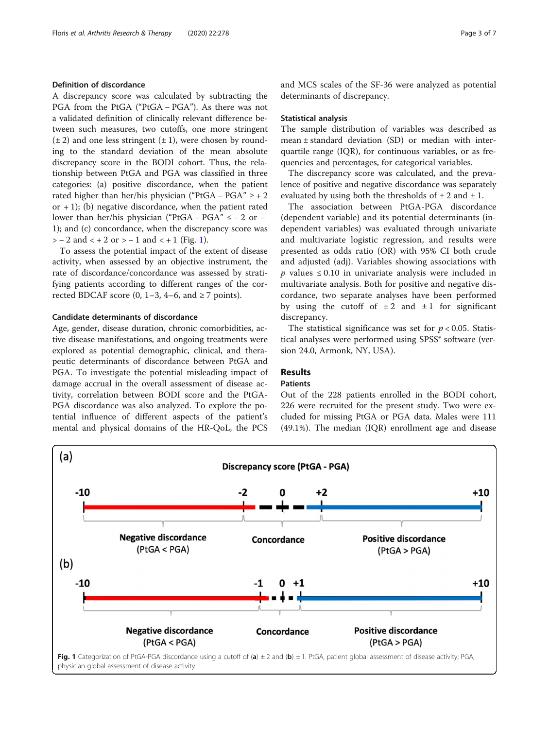#### Definition of discordance

A discrepancy score was calculated by subtracting the PGA from the PtGA ("PtGA − PGA"). As there was not a validated definition of clinically relevant difference between such measures, two cutoffs, one more stringent  $(\pm 2)$  and one less stringent  $(\pm 1)$ , were chosen by rounding to the standard deviation of the mean absolute discrepancy score in the BODI cohort. Thus, the relationship between PtGA and PGA was classified in three categories: (a) positive discordance, when the patient rated higher than her/his physician ("PtGA – PGA"  $\ge$  + 2 or  $+1$ ); (b) negative discordance, when the patient rated lower than her/his physician ("PtGA – PGA"  $\le -2$  or – 1); and (c) concordance, when the discrepancy score was  $> -2$  and  $< +2$  or  $> -1$  and  $< +1$  (Fig. 1).

To assess the potential impact of the extent of disease activity, when assessed by an objective instrument, the rate of discordance/concordance was assessed by stratifying patients according to different ranges of the corrected BDCAF score  $(0, 1-3, 4-6, \text{ and } \ge 7 \text{ points}).$ 

### Candidate determinants of discordance

Age, gender, disease duration, chronic comorbidities, active disease manifestations, and ongoing treatments were explored as potential demographic, clinical, and therapeutic determinants of discordance between PtGA and PGA. To investigate the potential misleading impact of damage accrual in the overall assessment of disease activity, correlation between BODI score and the PtGA-PGA discordance was also analyzed. To explore the potential influence of different aspects of the patient's mental and physical domains of the HR-QoL, the PCS and MCS scales of the SF-36 were analyzed as potential determinants of discrepancy.

#### Statistical analysis

The sample distribution of variables was described as mean ± standard deviation (SD) or median with interquartile range (IQR), for continuous variables, or as frequencies and percentages, for categorical variables.

The discrepancy score was calculated, and the prevalence of positive and negative discordance was separately evaluated by using both the thresholds of  $\pm 2$  and  $\pm 1$ .

The association between PtGA-PGA discordance (dependent variable) and its potential determinants (independent variables) was evaluated through univariate and multivariate logistic regression, and results were presented as odds ratio (OR) with 95% CI both crude and adjusted (adj). Variables showing associations with  $p$  values ≤ 0.10 in univariate analysis were included in multivariate analysis. Both for positive and negative discordance, two separate analyses have been performed by using the cutoff of  $\pm 2$  and  $\pm 1$  for significant discrepancy.

The statistical significance was set for  $p < 0.05$ . Statistical analyses were performed using SPSS® software (version 24.0, Armonk, NY, USA).

#### Results

#### Patients

Out of the 228 patients enrolled in the BODI cohort, 226 were recruited for the present study. Two were excluded for missing PtGA or PGA data. Males were 111 (49.1%). The median (IQR) enrollment age and disease

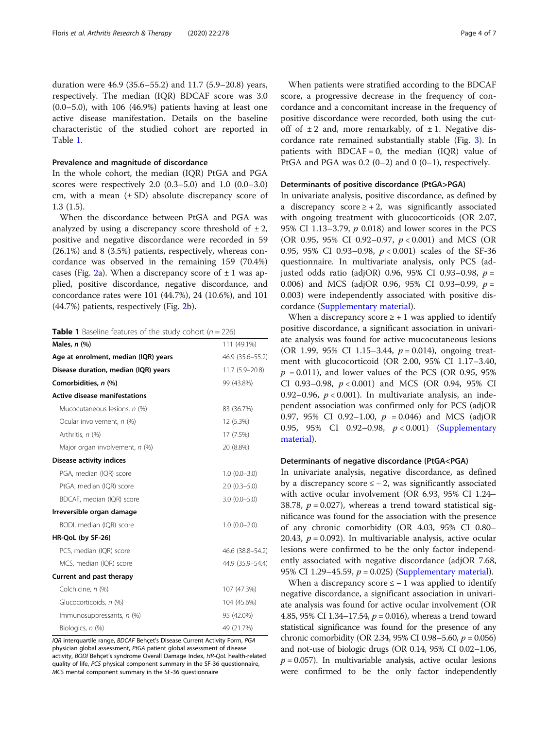duration were 46.9 (35.6–55.2) and 11.7 (5.9–20.8) years, respectively. The median (IQR) BDCAF score was 3.0  $(0.0-5.0)$ , with 106  $(46.9\%)$  patients having at least one active disease manifestation. Details on the baseline characteristic of the studied cohort are reported in Table 1.

#### Prevalence and magnitude of discordance

In the whole cohort, the median (IQR) PtGA and PGA scores were respectively 2.0 (0.3–5.0) and 1.0 (0.0–3.0) cm, with a mean  $(\pm SD)$  absolute discrepancy score of 1.3 (1.5).

When the discordance between PtGA and PGA was analyzed by using a discrepancy score threshold of  $\pm 2$ , positive and negative discordance were recorded in 59 (26.1%) and 8 (3.5%) patients, respectively, whereas concordance was observed in the remaining 159 (70.4%) cases (Fig. [2a](#page-4-0)). When a discrepancy score of  $\pm 1$  was applied, positive discordance, negative discordance, and concordance rates were 101 (44.7%), 24 (10.6%), and 101 (44.7%) patients, respectively (Fig. [2b](#page-4-0)).

|  | <b>Table 1</b> Baseline features of the study cohort ( $n = 226$ ) |  |  |  |  |  |
|--|--------------------------------------------------------------------|--|--|--|--|--|
|--|--------------------------------------------------------------------|--|--|--|--|--|

| Males, $n$ $(\%)$                    | 111 (49.1%)        |  |  |
|--------------------------------------|--------------------|--|--|
| Age at enrolment, median (IQR) years | 46.9 (35.6–55.2)   |  |  |
| Disease duration, median (IQR) years | 11.7 (5.9-20.8)    |  |  |
| Comorbidities, n (%)                 | 99 (43.8%)         |  |  |
| <b>Active disease manifestations</b> |                    |  |  |
| Mucocutaneous lesions, n (%)         | 83 (36.7%)         |  |  |
| Ocular involvement, n (%)            | 12 (5.3%)          |  |  |
| Arthritis, n (%)                     | 17 (7.5%)          |  |  |
| Major organ involvement, n (%)       | 20 (8.8%)          |  |  |
| <b>Disease activity indices</b>      |                    |  |  |
| PGA, median (IQR) score              | $1.0(0.0 - 3.0)$   |  |  |
| PtGA, median (IQR) score             | $2.0(0.3 - 5.0)$   |  |  |
| BDCAF, median (IQR) score            | $3.0(0.0 - 5.0)$   |  |  |
| Irreversible organ damage            |                    |  |  |
| BODI, median (IQR) score             | $1.0(0.0-2.0)$     |  |  |
| HR-QoL (by SF-26)                    |                    |  |  |
| PCS, median (IQR) score              | 46.6 (38.8-54.2)   |  |  |
| MCS, median (IQR) score              | 44.9 (35.9 - 54.4) |  |  |
| Current and past therapy             |                    |  |  |
| Colchicine, n (%)                    | 107 (47.3%)        |  |  |
| Glucocorticoids, n (%)               | 104 (45.6%)        |  |  |
| Immunosuppressants, n (%)            | 95 (42.0%)         |  |  |
| Biologics, n (%)                     | 49 (21.7%)         |  |  |

IQR interquartile range, BDCAF Behçet's Disease Current Activity Form, PGA physician global assessment, PtGA patient global assessment of disease activity, BODI Behçet's syndrome Overall Damage Index, HR-QoL health-related quality of life, PCS physical component summary in the SF-36 questionnaire, MCS mental component summary in the SF-36 questionnaire

When patients were stratified according to the BDCAF score, a progressive decrease in the frequency of concordance and a concomitant increase in the frequency of positive discordance were recorded, both using the cutoff of  $\pm 2$  and, more remarkably, of  $\pm 1$ . Negative discordance rate remained substantially stable (Fig. [3\)](#page-4-0). In patients with  $BDCAF = 0$ , the median (IQR) value of PtGA and PGA was  $0.2$   $(0-2)$  and  $0$   $(0-1)$ , respectively.

#### Determinants of positive discordance (PtGA>PGA)

In univariate analysis, positive discordance, as defined by a discrepancy score  $\geq$  + 2, was significantly associated with ongoing treatment with glucocorticoids (OR 2.07, 95% CI 1.13–3.79, p 0.018) and lower scores in the PCS (OR 0.95, 95% CI 0.92–0.97, p < 0.001) and MCS (OR 0.95, 95% CI 0.93–0.98, p < 0.001) scales of the SF-36 questionnaire. In multivariate analysis, only PCS (adjusted odds ratio (adjOR) 0.96, 95% CI 0.93-0.98,  $p =$ 0.006) and MCS (adjOR 0.96, 95% CI 0.93–0.99,  $p =$ 0.003) were independently associated with positive discordance ([Supplementary material](#page-5-0)).

When a discrepancy score  $\geq$  + 1 was applied to identify positive discordance, a significant association in univariate analysis was found for active mucocutaneous lesions (OR 1.99, 95% CI 1.15-3.44,  $p = 0.014$ ), ongoing treatment with glucocorticoid (OR 2.00, 95% CI 1.17–3.40,  $p = 0.011$ ), and lower values of the PCS (OR 0.95, 95% CI 0.93–0.98,  $p < 0.001$  and MCS (OR 0.94, 95% CI 0.92–0.96,  $p < 0.001$ ). In multivariate analysis, an independent association was confirmed only for PCS (adjOR 0.97, 95% CI 0.92–1.00,  $p = 0.046$  and MCS (adjOR 0.95, 95% CI 0.92–0.98, p < 0.001) [\(Supplementary](#page-5-0) [material](#page-5-0)).

#### Determinants of negative discordance (PtGA<PGA)

In univariate analysis, negative discordance, as defined by a discrepancy score  $\leq$  - 2, was significantly associated with active ocular involvement (OR 6.93, 95% CI 1.24– 38.78,  $p = 0.027$ ), whereas a trend toward statistical significance was found for the association with the presence of any chronic comorbidity (OR 4.03, 95% CI 0.80– 20.43,  $p = 0.092$ ). In multivariable analysis, active ocular lesions were confirmed to be the only factor independently associated with negative discordance (adjOR 7.68, 95% CI 1.29–45.59,  $p = 0.025$ ) ([Supplementary material](#page-5-0)).

When a discrepancy score  $\le -1$  was applied to identify negative discordance, a significant association in univariate analysis was found for active ocular involvement (OR 4.85, 95% CI 1.34–17.54,  $p = 0.016$ ), whereas a trend toward statistical significance was found for the presence of any chronic comorbidity (OR 2.34, 95% CI 0.98–5.60,  $p = 0.056$ ) and not-use of biologic drugs (OR 0.14, 95% CI 0.02–1.06,  $p = 0.057$ ). In multivariable analysis, active ocular lesions were confirmed to be the only factor independently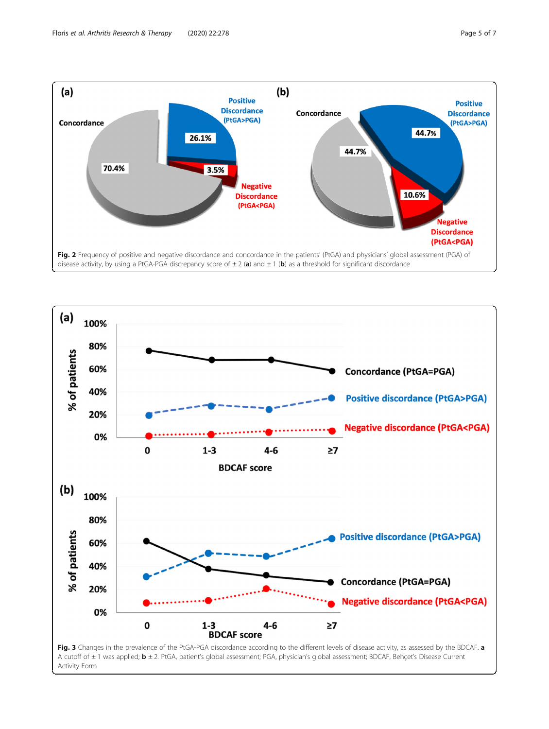<span id="page-4-0"></span>

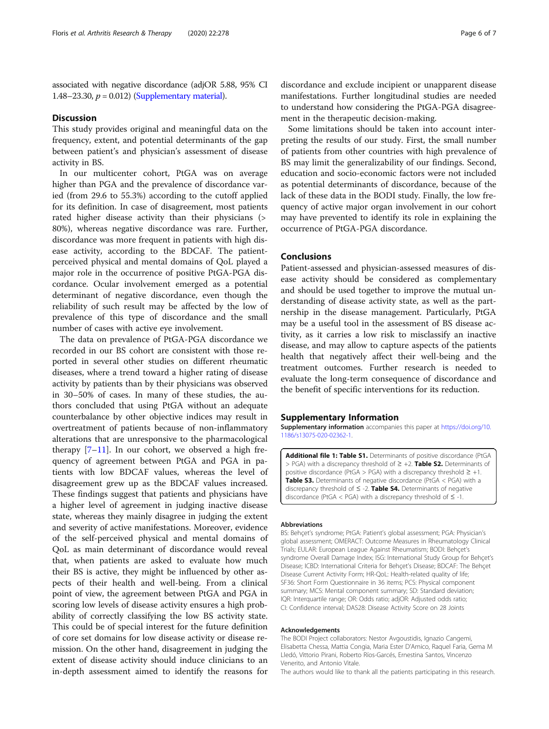<span id="page-5-0"></span>associated with negative discordance (adjOR 5.88, 95% CI 1.48–23.30,  $p = 0.012$ ) (Supplementary material).

#### **Discussion**

This study provides original and meaningful data on the frequency, extent, and potential determinants of the gap between patient's and physician's assessment of disease activity in BS.

In our multicenter cohort, PtGA was on average higher than PGA and the prevalence of discordance varied (from 29.6 to 55.3%) according to the cutoff applied for its definition. In case of disagreement, most patients rated higher disease activity than their physicians (> 80%), whereas negative discordance was rare. Further, discordance was more frequent in patients with high disease activity, according to the BDCAF. The patientperceived physical and mental domains of QoL played a major role in the occurrence of positive PtGA-PGA discordance. Ocular involvement emerged as a potential determinant of negative discordance, even though the reliability of such result may be affected by the low of prevalence of this type of discordance and the small number of cases with active eye involvement.

The data on prevalence of PtGA-PGA discordance we recorded in our BS cohort are consistent with those reported in several other studies on different rheumatic diseases, where a trend toward a higher rating of disease activity by patients than by their physicians was observed in 30–50% of cases. In many of these studies, the authors concluded that using PtGA without an adequate counterbalance by other objective indices may result in overtreatment of patients because of non-inflammatory alterations that are unresponsive to the pharmacological therapy  $[7-11]$  $[7-11]$  $[7-11]$  $[7-11]$  $[7-11]$ . In our cohort, we observed a high frequency of agreement between PtGA and PGA in patients with low BDCAF values, whereas the level of disagreement grew up as the BDCAF values increased. These findings suggest that patients and physicians have a higher level of agreement in judging inactive disease state, whereas they mainly disagree in judging the extent and severity of active manifestations. Moreover, evidence of the self-perceived physical and mental domains of QoL as main determinant of discordance would reveal that, when patients are asked to evaluate how much their BS is active, they might be influenced by other aspects of their health and well-being. From a clinical point of view, the agreement between PtGA and PGA in scoring low levels of disease activity ensures a high probability of correctly classifying the low BS activity state. This could be of special interest for the future definition of core set domains for low disease activity or disease remission. On the other hand, disagreement in judging the extent of disease activity should induce clinicians to an in-depth assessment aimed to identify the reasons for

discordance and exclude incipient or unapparent disease manifestations. Further longitudinal studies are needed to understand how considering the PtGA-PGA disagreement in the therapeutic decision-making.

Some limitations should be taken into account interpreting the results of our study. First, the small number of patients from other countries with high prevalence of BS may limit the generalizability of our findings. Second, education and socio-economic factors were not included as potential determinants of discordance, because of the lack of these data in the BODI study. Finally, the low frequency of active major organ involvement in our cohort may have prevented to identify its role in explaining the occurrence of PtGA-PGA discordance.

#### Conclusions

Patient-assessed and physician-assessed measures of disease activity should be considered as complementary and should be used together to improve the mutual understanding of disease activity state, as well as the partnership in the disease management. Particularly, PtGA may be a useful tool in the assessment of BS disease activity, as it carries a low risk to misclassify an inactive disease, and may allow to capture aspects of the patients health that negatively affect their well-being and the treatment outcomes. Further research is needed to evaluate the long-term consequence of discordance and the benefit of specific interventions for its reduction.

#### Supplementary Information

Supplementary information accompanies this paper at [https://doi.org/10.](https://doi.org/10.1186/s13075-020-02362-1) [1186/s13075-020-02362-1](https://doi.org/10.1186/s13075-020-02362-1).

Additional file 1: Table S1. Determinants of positive discordance (PtGA > PGA) with a discrepancy threshold of  $\geq$  +2. Table S2. Determinants of positive discordance (PtGA > PGA) with a discrepancy threshold  $\geq +1$ . Table S3. Determinants of negative discordance (PtGA < PGA) with a discrepancy threshold of  $\leq$  -2. Table S4. Determinants of negative discordance (PtGA < PGA) with a discrepancy threshold of  $\leq$  -1.

#### Abbreviations

BS: Behçet's syndrome; PtGA: Patient's global assessment; PGA: Physician's global assessment; OMERACT: Outcome Measures in Rheumatology Clinical Trials; EULAR: European League Against Rheumatism; BODI: Behçet's syndrome Overall Damage Index; ISG: International Study Group for Behçet's Disease; ICBD: International Criteria for Behçet's Disease; BDCAF: The Behçet Disease Current Activity Form; HR-QoL: Health-related quality of life; SF36: Short Form Questionnaire in 36 items; PCS: Physical component summary; MCS: Mental component summary; SD: Standard deviation; IQR: Interquartile range; OR: Odds ratio; adjOR: Adjusted odds ratio; CI: Confidence interval; DAS28: Disease Activity Score on 28 Joints

#### Acknowledgements

The BODI Project collaborators: Nestor Avgoustidis, Ignazio Cangemi, Elisabetta Chessa, Mattia Congia, Maria Ester D'Amico, Raquel Faria, Gema M Lledó, Vittorio Pirani, Roberto Ríos-Garcés, Ernestina Santos, Vincenzo Venerito, and Antonio Vitale.

The authors would like to thank all the patients participating in this research.